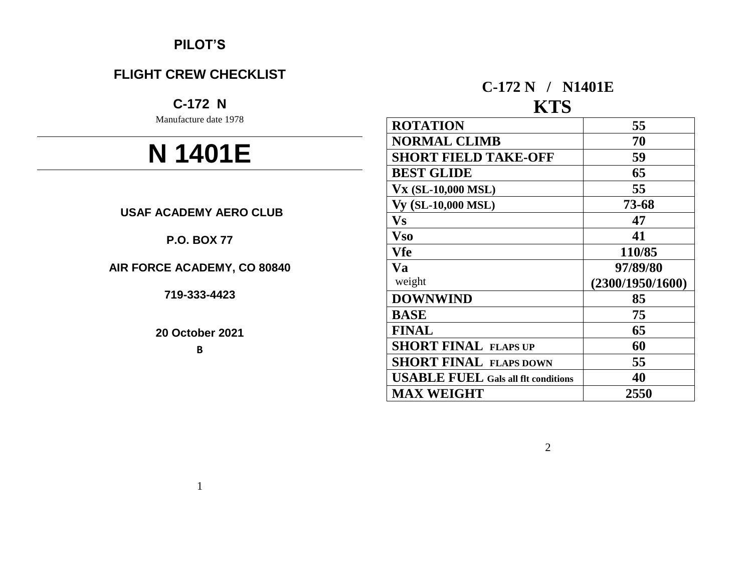# **PILOT'S**

# **FLIGHT CREW CHECKLIST**

# **C-172 N**

Manufacture date 1978

# **N 1401E**

# **USAF ACADEMY AERO CLUB**

# **P.O. BOX 77**

# **AIR FORCE ACADEMY, CO 80840**

**719-333-4423**

#### **20 October 2021**

**B**

# **C-172 N / N1401E**

# **KTS**

| <b>ROTATION</b>                            | 55               |
|--------------------------------------------|------------------|
| <b>NORMAL CLIMB</b>                        | 70               |
| <b>SHORT FIELD TAKE-OFF</b>                | 59               |
| <b>BEST GLIDE</b>                          | 65               |
| <b>Vx (SL-10,000 MSL)</b>                  | 55               |
| <b>Vy (SL-10,000 MSL)</b>                  | 73-68            |
| $\mathbf{V}\mathbf{s}$                     | 47               |
| <b>Vso</b>                                 | 41               |
| Vfe                                        | 110/85           |
| Va                                         | 97/89/80         |
| weight                                     | (2300/1950/1600) |
| <b>DOWNWIND</b>                            | 85               |
| <b>BASE</b>                                | 75               |
| <b>FINAL</b>                               | 65               |
| <b>SHORT FINAL FLAPS UP</b>                | 60               |
| <b>SHORT FINAL FLAPS DOWN</b>              | 55               |
| <b>USABLE FUEL Gals all flt conditions</b> | 40               |
| <b>MAX WEIGHT</b>                          | 2550             |

2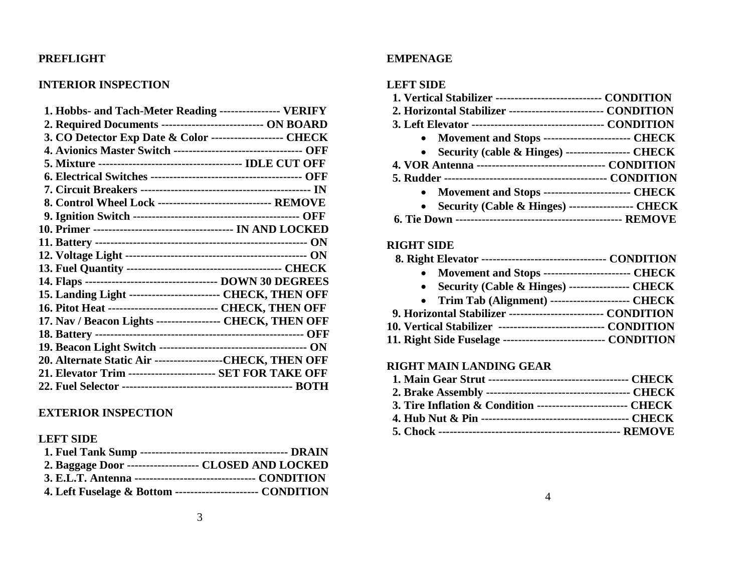#### **PREFLIGHT**

#### **INTERIOR INSPECTION**

| 1. Hobbs- and Tach-Meter Reading ---------------- VERIFY            |
|---------------------------------------------------------------------|
| 2. Required Documents ----------------------------- ON BOARD        |
| 3. CO Detector Exp Date & Color ------------------- CHECK           |
| 4. Avionics Master Switch ---------------------------------- OFF    |
|                                                                     |
|                                                                     |
|                                                                     |
| 8. Control Wheel Lock ------------------------------ REMOVE         |
|                                                                     |
|                                                                     |
|                                                                     |
|                                                                     |
|                                                                     |
|                                                                     |
| 15. Landing Light ------------------------ CHECK, THEN OFF          |
| <b>16. Pitot Heat ----------------------------- CHECK, THEN OFF</b> |
| 17. Nav / Beacon Lights ----------------- CHECK, THEN OFF           |
|                                                                     |
|                                                                     |
| 20. Alternate Static Air -----------------CHECK, THEN OFF           |
| 21. Elevator Trim ------------------------ SET FOR TAKE OFF         |
|                                                                     |

#### **EXTERIOR INSPECTION**

#### **LEFT SIDE**

| 2. Baggage Door -------------------- CLOSED AND LOCKED      |  |
|-------------------------------------------------------------|--|
|                                                             |  |
| 4. Left Fuselage & Bottom ----------------------- CONDITION |  |

#### **EMPENAGE**

#### **LEFT SIDE**

| 1. Vertical Stabilizer ----------------------------- CONDITION |
|----------------------------------------------------------------|
| 2. Horizontal Stabilizer -------------------------- CONDITION  |
|                                                                |
| • Movement and Stops ------------------------ CHECK            |
| • Security (cable & Hinges) ------------------- CHECK          |
|                                                                |
|                                                                |
| • Movement and Stops ------------------------- CHECK           |
| • Security (Cable & Hinges) ------------------ CHECK           |
|                                                                |

#### **RIGHT SIDE**

| 8. Right Elevator ---------------------------------- CONDITION |  |
|----------------------------------------------------------------|--|
|----------------------------------------------------------------|--|

- **Movement and Stops ----------------------- CHECK**
- **Security (Cable & Hinges) ---------------- CHECK**
- **Trim Tab (Alignment) --------------------- CHECK**
- **9. Horizontal Stabilizer ------------------------- CONDITION**
- **10. Vertical Stabilizer ---------------------------- CONDITION**
- **11. Right Side Fuselage --------------------------- CONDITION**

#### **RIGHT MAIN LANDING GEAR**

| 3. Tire Inflation & Condition -------------------------- CHECK |  |
|----------------------------------------------------------------|--|
|                                                                |  |
|                                                                |  |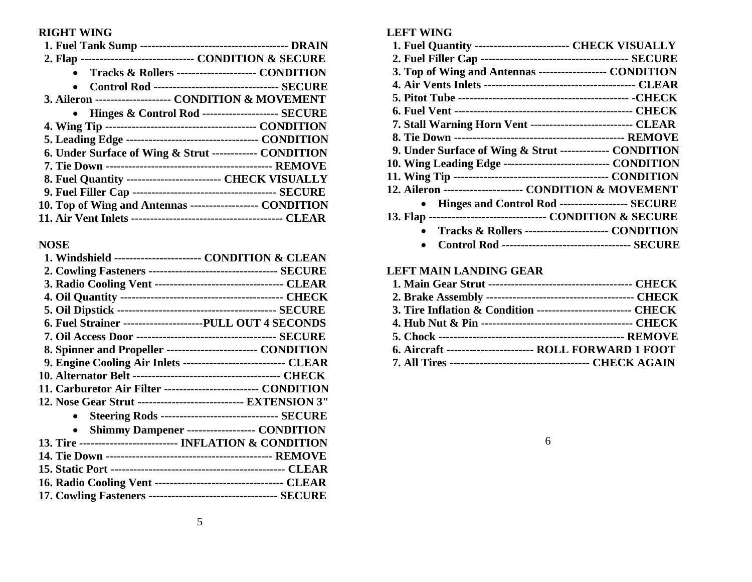## **RIGHT WING**

| 2. Flap ------------------------------ CONDITION & SECURE    |
|--------------------------------------------------------------|
| Tracks & Rollers --------------------- CONDITION             |
| <b>Control Rod ---------------------------------- SECURE</b> |
| 3. Aileron -------------------- CONDITION & MOVEMENT         |
| • Hinges & Control Rod --------------------- SECURE          |
|                                                              |
|                                                              |
| 6. Under Surface of Wing & Strut ------------ CONDITION      |
|                                                              |
| 8. Fuel Quantity --------------------------- CHECK VISUALLY  |
|                                                              |
| 10. Top of Wing and Antennas ------------------ CONDITION    |
|                                                              |

## **NOSE**

| 1. Windshield ------------------------ CONDITION & CLEAN         |
|------------------------------------------------------------------|
|                                                                  |
| 3. Radio Cooling Vent ---------------------------------- CLEAR   |
|                                                                  |
|                                                                  |
| 6. Fuel Strainer ---------------------PULL OUT 4 SECONDS         |
|                                                                  |
| 8. Spinner and Propeller -------------------------- CONDITION    |
| 9. Engine Cooling Air Inlets ---------------------------- CLEAR  |
|                                                                  |
| 11. Carburetor Air Filter ------------------------- CONDITION    |
| 12. Nose Gear Strut ---------------------------- EXTENSION 3"    |
| <b>Steering Rods ------------------------------- SECURE</b>      |
| Shimmy Dampener ------------------- CONDITION<br>$\bullet$       |
| 13. Tire -------------------------- INFLATION & CONDITION        |
|                                                                  |
|                                                                  |
| 16. Radio Cooling Vent ----------------------------------- CLEAR |
| 17. Cowling Fasteners ----------------------------------- SECURE |
|                                                                  |

| <b>LEFT WING</b>                                              |
|---------------------------------------------------------------|
| 1. Fuel Quantity -------------------------- CHECK VISUALLY    |
|                                                               |
| 3. Top of Wing and Antennas ------------------- CONDITION     |
|                                                               |
|                                                               |
|                                                               |
| 7. Stall Warning Horn Vent --------------------------- CLEAR  |
|                                                               |
| 9. Under Surface of Wing & Strut ------------- CONDITION      |
| 10. Wing Leading Edge ----------------------------- CONDITION |
|                                                               |
| 12. Aileron --------------------- CONDITION & MOVEMENT        |
| • Hinges and Control Rod ------------------- SECURE           |
| 13. Flap --------------------------------- CONDITION & SECURE |
| Tracks & Rollers ---------------------- CONDITION             |

**Control Rod ---------------------------------- SECURE**

# **LEFT MAIN LANDING GEAR**

| 3. Tire Inflation & Condition --------------------------- CHECK |
|-----------------------------------------------------------------|
|                                                                 |
|                                                                 |
| 6. Aircraft ------------------------ ROLL FORWARD 1 FOOT        |
|                                                                 |

6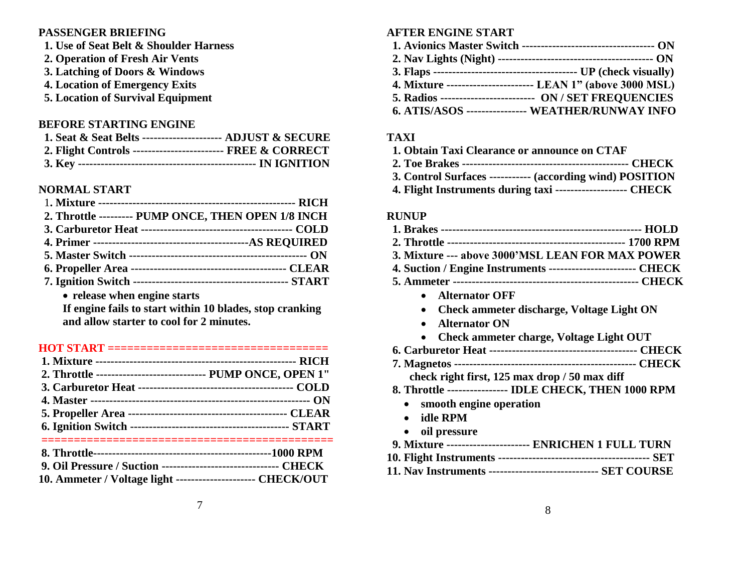#### **PASSENGER BRIEFING**

- **1. Use of Seat Belt & Shoulder Harness**
- **2. Operation of Fresh Air Vents**
- **3. Latching of Doors & Windows**
- **4. Location of Emergency Exits**
- **5. Location of Survival Equipment**

#### **BEFORE STARTING ENGINE**

| 1. Seat & Seat Belts --------------------- ADJUST & SECURE  |  |
|-------------------------------------------------------------|--|
| 2. Flight Controls ------------------------- FREE & CORRECT |  |
|                                                             |  |

#### **NORMAL START**

| 2. Throttle --------- PUMP ONCE, THEN OPEN 1/8 INCH                                                                                 |  |
|-------------------------------------------------------------------------------------------------------------------------------------|--|
|                                                                                                                                     |  |
|                                                                                                                                     |  |
|                                                                                                                                     |  |
|                                                                                                                                     |  |
|                                                                                                                                     |  |
| $\mathbf{r}$ and $\mathbf{r}$ and $\mathbf{r}$ and $\mathbf{r}$ and $\mathbf{r}$ and $\mathbf{r}$ and $\mathbf{r}$ and $\mathbf{r}$ |  |

**release when engine starts**

**If engine fails to start within 10 blades, stop cranking and allow starter to cool for 2 minutes.**

#### **HOT START ==================================**

| 2. Throttle ----------------------------- PUMP ONCE, OPEN 1" |  |
|--------------------------------------------------------------|--|
|                                                              |  |
|                                                              |  |
|                                                              |  |
|                                                              |  |
|                                                              |  |

| <b>9. Oil Pressure / Suction --------------------------------- CHECK</b> |  |
|--------------------------------------------------------------------------|--|
| 10. Ammeter / Voltage light --------------------- CHECK/OUT              |  |
|                                                                          |  |

# **AFTER ENGINE START**

| 4. Mixture ----------------------- LEAN 1" (above 3000 MSL) |
|-------------------------------------------------------------|
| 5. Radios ------------------------- ON / SET FREQUENCIES    |
| <b>6. ATIS/ASOS ---------------- WEATHER/RUNWAY INFO</b>    |

#### **TAXI**

| 1. Obtain Taxi Clearance or announce on CTAF                  |  |
|---------------------------------------------------------------|--|
|                                                               |  |
| 3. Control Surfaces ----------- (according wind) POSITION     |  |
| 4. Flight Instruments during taxi --------------------- CHECK |  |

#### **RUNUP**

| 3. Mixture --- above 3000'MSL LEAN FOR MAX POWER                |
|-----------------------------------------------------------------|
| 4. Suction / Engine Instruments ------------------------- CHECK |
|                                                                 |
| • Alternator OFF                                                |

- **Check ammeter discharge, Voltage Light ON**
- **Alternator ON**
- **Check ammeter charge, Voltage Light OUT**
- **6. Carburetor Heat --------------------------------------- CHECK**
- **7. Magnetos ------------------------------------------------ CHECK**
	- **check right first, 125 max drop / 50 max diff**
- **8. Throttle ---------------- IDLE CHECK, THEN 1000 RPM**
	- **smooth engine operation**
	- **idle RPM**
	- **oil pressure**
- **9. Mixture ---------------------- ENRICHEN 1 FULL TURN**
- **10. Flight Instruments ---------------------------------------- SET**
- **11. Nav Instruments ----------------------------- SET COURSE**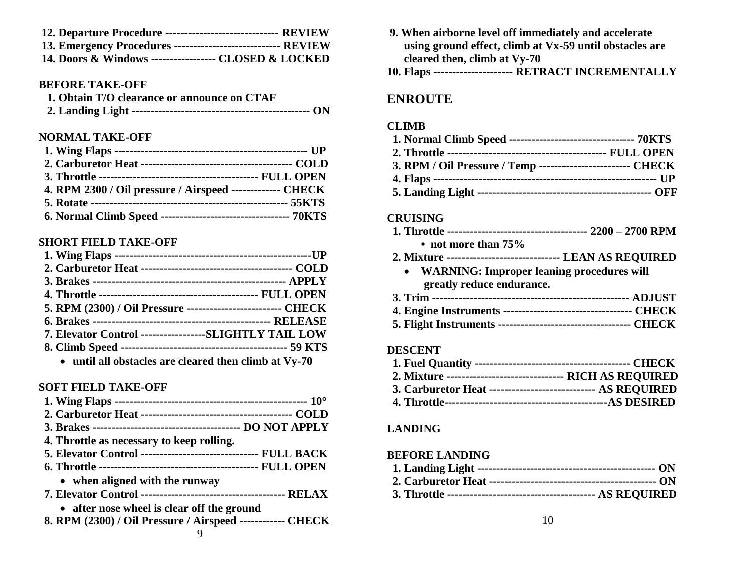| 12. Departure Procedure -------------------------------- REVIEW |  |
|-----------------------------------------------------------------|--|
| 13. Emergency Procedures ------------------------------ REVIEW  |  |
| 14. Doors & Windows ------------------ CLOSED & LOCKED          |  |

#### **BEFORE TAKE-OFF**

| 1. Obtain T/O clearance or announce on CTAF |  |
|---------------------------------------------|--|
|                                             |  |

## **NORMAL TAKE-OFF**

| 4. RPM 2300 / Oil pressure / Airspeed ------------- CHECK |  |
|-----------------------------------------------------------|--|
|                                                           |  |
|                                                           |  |

#### **SHORT FIELD TAKE-OFF**

| 5. RPM (2300) / Oil Pressure --------------------------- CHECK |                                                               |
|----------------------------------------------------------------|---------------------------------------------------------------|
|                                                                |                                                               |
| 7. Elevator Control -----------------SLIGHTLY TAIL LOW         |                                                               |
|                                                                |                                                               |
|                                                                | المطالب والمعامد المناطق المناطق المستحدث والمستحدث والمستحدث |

**until all obstacles are cleared then climb at Vy-70**

#### **SOFT FIELD TAKE-OFF**

- **9. When airborne level off immediately and accelerate using ground effect, climb at Vx-59 until obstacles are cleared then, climb at Vy-70**
- **10. Flaps --------------------- RETRACT INCREMENTALLY**

# **ENROUTE**

#### **CLIMB**

| 1. Normal Climb Speed ---------------------------------- 70KTS |  |
|----------------------------------------------------------------|--|
|                                                                |  |
| 3. RPM / Oil Pressure / Temp ------------------------- CHECK   |  |
|                                                                |  |
|                                                                |  |

#### **CRUISING**

| • not more than $75\%$ |  |  |
|------------------------|--|--|

- **2. Mixture ------------------------------ LEAN AS REQUIRED**
	- **WARNING: Improper leaning procedures will greatly reduce endurance.**

#### **DESCENT**

| 2. Mixture ---------------------------------- RICH AS REQUIRED |  |
|----------------------------------------------------------------|--|
| 3. Carburetor Heat ------------------------------ AS REQUIRED  |  |
|                                                                |  |

#### **LANDING**

#### **BEFORE LANDING**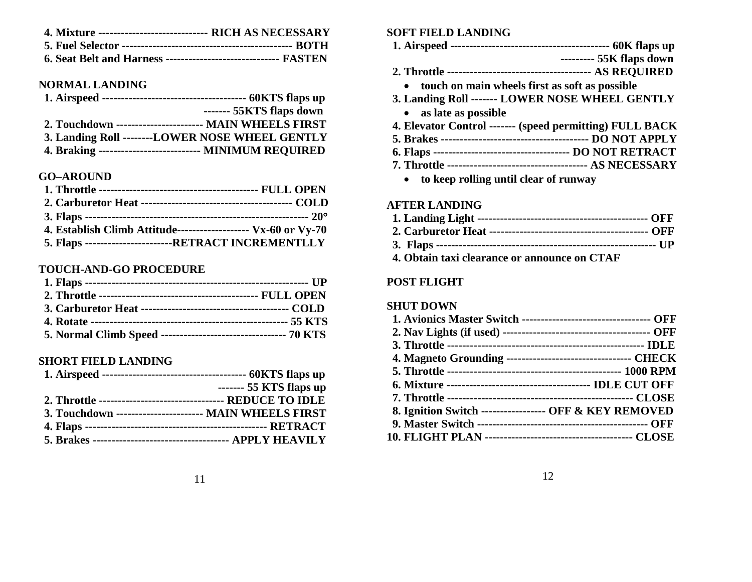| <b>4. Mixture ----------------------------- RICH AS NECESSARY</b> |  |
|-------------------------------------------------------------------|--|
|                                                                   |  |
| 6. Seat Belt and Harness -------------------------------- FASTEN  |  |

#### **NORMAL LANDING**

|                                                         | ------- 55KTS flaps down |
|---------------------------------------------------------|--------------------------|
| 2. Touchdown ------------------------ MAIN WHEELS FIRST |                          |
| 3. Landing Roll --------LOWER NOSE WHEEL GENTLY         |                          |
| 4. Braking --------------------------- MINIMUM REQUIRED |                          |

#### **GO–AROUND**

| 4. Establish Climb Attitude-------------------- Vx-60 or Vy-70 |
|----------------------------------------------------------------|
| 5. Flaps ------------------------RETRACT INCREMENTLLY          |

#### **TOUCH-AND-GO PROCEDURE**

| 5. Normal Climb Speed --------------------------------- 70 KTS |  |
|----------------------------------------------------------------|--|

#### **SHORT FIELD LANDING**

|                                                         | ------- 55 KTS flaps up |
|---------------------------------------------------------|-------------------------|
|                                                         |                         |
| 3. Touchdown ------------------------ MAIN WHEELS FIRST |                         |
|                                                         |                         |
|                                                         |                         |

#### **SOFT FIELD LANDING**

- **1. Airspeed ------------------------------------------ 60K flaps up --------- 55K flaps down 2. Throttle -------------------------------------- AS REQUIRED touch on main wheels first as soft as possible 3. Landing Roll ------- LOWER NOSE WHEEL GENTLY as late as possible 4. Elevator Control ------- (speed permitting) FULL BACK 5. Brakes --------------------------------------- DO NOT APPLY**
- **6. Flaps ------------------------------------ DO NOT RETRACT 7. Throttle ------------------------------------- AS NECESSARY**
	- **to keep rolling until clear of runway**

#### **AFTER LANDING**

| 4. Obtain taxi clearance or announce on CTAF |  |
|----------------------------------------------|--|

#### **POST FLIGHT**

#### **SHUT DOWN**

| <b>1. Avionics Master Switch --------------------------------- OFF</b> |  |
|------------------------------------------------------------------------|--|
|                                                                        |  |
|                                                                        |  |
| 4. Magneto Grounding ---------------------------------- CHECK          |  |
|                                                                        |  |
|                                                                        |  |
|                                                                        |  |
| 8. Ignition Switch ------------------ OFF & KEY REMOVED                |  |
|                                                                        |  |
|                                                                        |  |
|                                                                        |  |